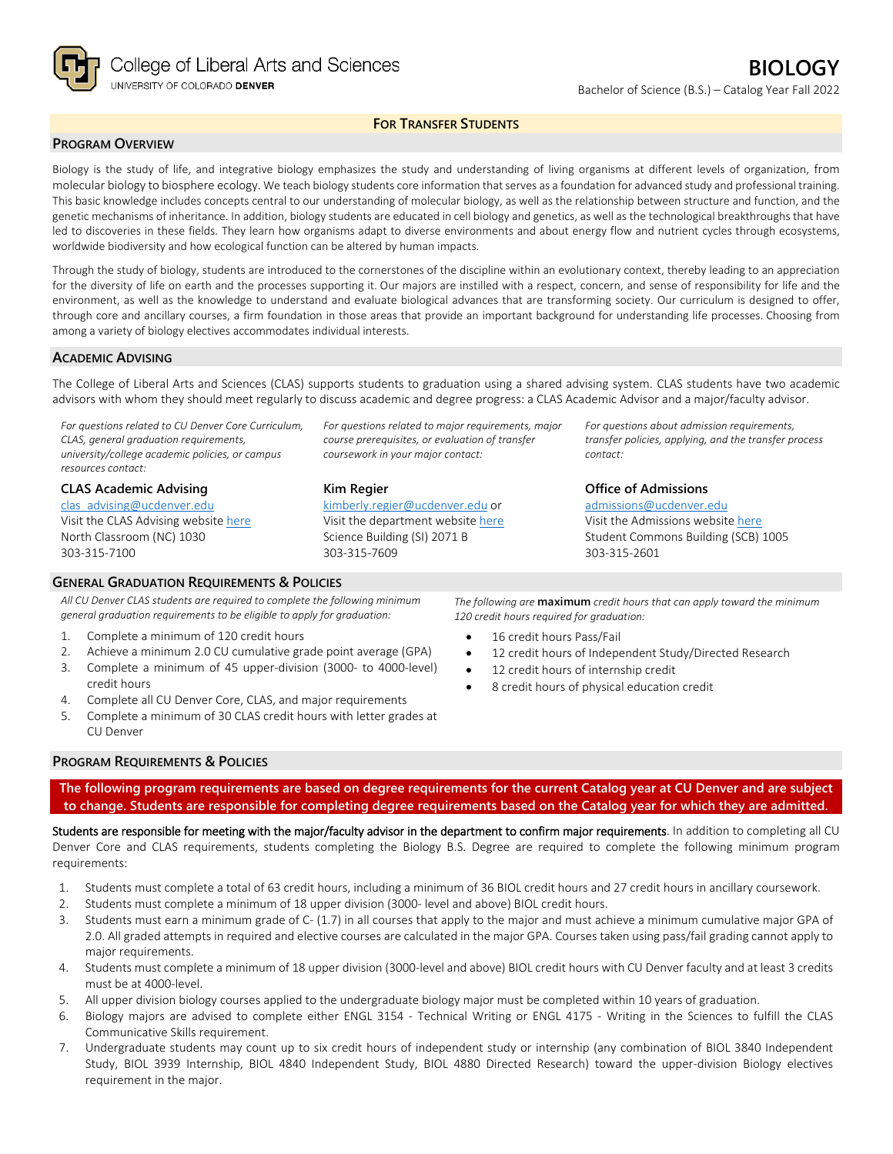

## **FOR TRANSFER STUDENTS**

### **PROGRAM OVERVIEW**

Biology is the study of life, and integrative biology emphasizes the study and understanding of living organisms at different levels of organization, from molecular biology to biosphere ecology. We teach biology students core information that serves as a foundation for advanced study and professional training. This basic knowledge includes concepts central to our understanding of molecular biology, as well as the relationship between structure and function, and the genetic mechanisms of inheritance. In addition, biology students are educated in cell biology and genetics, as well as the technological breakthroughs that have led to discoveries in these fields. They learn how organisms adapt to diverse environments and about energy flow and nutrient cycles through ecosystems, worldwide biodiversity and how ecological function can be altered by human impacts.

Through the study of biology, students are introduced to the cornerstones of the discipline within an evolutionary context, thereby leading to an appreciation for the diversity of life on earth and the processes supporting it. Our majors are instilled with a respect, concern, and sense of responsibility for life and the environment, as well as the knowledge to understand and evaluate biological advances that are transforming society. Our curriculum is designed to offer, through core and ancillary courses, a firm foundation in those areas that provide an important background for understanding life processes. Choosing from among a variety of biology electives accommodates individual interests.

#### **ACADEMIC ADVISING**

The College of Liberal Arts and Sciences (CLAS) supports students to graduation using a shared advising system. CLAS students have two academic advisors with whom they should meet regularly to discuss academic and degree progress: a CLAS Academic Advisor and a major/faculty advisor.

*For questions related to CU Denver Core Curriculum, CLAS, general graduation requirements, university/college academic policies, or campus resources contact:*

**CLAS Academic Advising** [clas\\_advising@ucdenver.edu](mailto:clas_advising@ucdenver.edu) Visit the CLAS Advising websit[e here](https://clas.ucdenver.edu/advising/) North Classroom (NC) 1030 303-315-7100

#### **GENERAL GRADUATION REQUIREMENTS & POLICIES**

*All CU Denver CLAS students are required to complete the following minimum general graduation requirements to be eligible to apply for graduation:*

- 1. Complete a minimum of 120 credit hours
- 2. Achieve a minimum 2.0 CU cumulative grade point average (GPA)
- 3. Complete a minimum of 45 upper-division (3000- to 4000-level) credit hours
- 4. Complete all CU Denver Core, CLAS, and major requirements
- 5. Complete a minimum of 30 CLAS credit hours with letter grades at CU Denver

*For questions related to major requirements, major course prerequisites, or evaluation of transfer coursework in your major contact:*

#### **Kim Regier**

[kimberly.regier@ucdenver.edu](mailto:kimberly.regier@ucdenver.edu) or Visit the department website [here](https://clas.ucdenver.edu/integrative-biology/academics/undergraduate-programs#advising-73) Science Building (SI) 2071 B 303-315-7609

*For questions about admission requirements, transfer policies, applying, and the transfer process contact:*

**Office of Admissions** [admissions@ucdenver.edu](mailto:admissions@ucdenver.edu)

Visit the Admissions website [here](http://www.ucdenver.edu/admissions/Pages/index.aspx) Student Commons Building (SCB) 1005 303-315-2601

*The following are* **maximum** *credit hours that can apply toward the minimum 120 credit hours required for graduation:*

- 16 credit hours Pass/Fail
- 12 credit hours of Independent Study/Directed Research
- 12 credit hours of internship credit
- 8 credit hours of physical education credit

## **PROGRAM REQUIREMENTS & POLICIES**

**The following program requirements are based on degree requirements for the current Catalog year at CU Denver and are subject to change. Students are responsible for completing degree requirements based on the Catalog year for which they are admitted.**

Students are responsible for meeting with the major/faculty advisor in the department to confirm major requirements. In addition to completing all CU Denver Core and CLAS requirements, students completing the Biology B.S. Degree are required to complete the following minimum program requirements:

- 1. Students must complete a total of 63 credit hours, including a minimum of 36 BIOL credit hours and 27 credit hours in ancillary coursework.
- 2. Students must complete a minimum of 18 upper division (3000- level and above) BIOL credit hours.
- 3. Students must earn a minimum grade of C- (1.7) in all courses that apply to the major and must achieve a minimum cumulative major GPA of 2.0. All graded attempts in required and elective courses are calculated in the major GPA. Courses taken using pass/fail grading cannot apply to major requirements.
- 4. Students must complete a minimum of 18 upper division (3000-level and above) BIOL credit hours with CU Denver faculty and at least 3 credits must be at 4000-level.
- 5. All upper division biology courses applied to the undergraduate biology major must be completed within 10 years of graduation.
- 6. Biology majors are advised to complete either ENGL 3154 Technical Writing or ENGL 4175 Writing in the Sciences to fulfill the CLAS Communicative Skills requirement.
- 7. Undergraduate students may count up to six credit hours of independent study or internship (any combination of BIOL 3840 Independent Study, BIOL 3939 Internship, BIOL 4840 Independent Study, BIOL 4880 Directed Research) toward the upper-division Biology electives requirement in the major.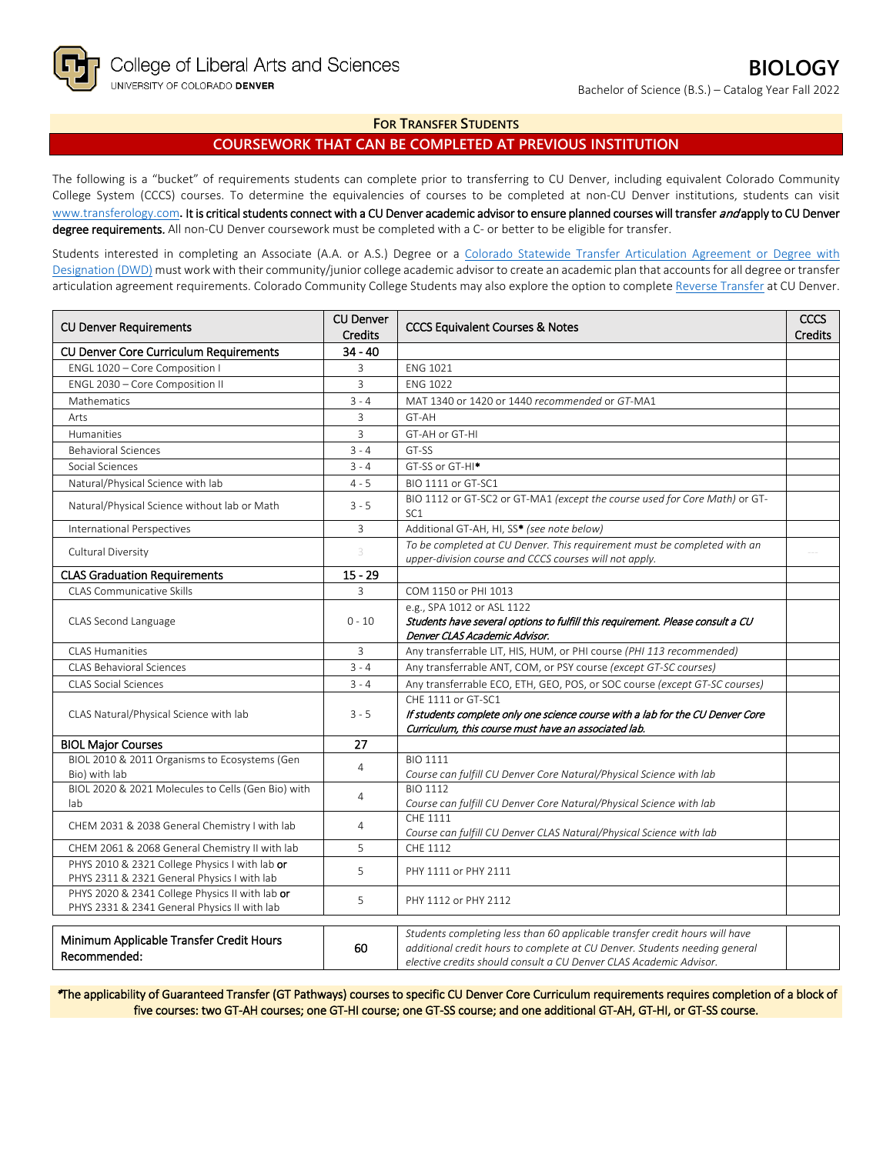## **FOR TRANSFER STUDENTS**

## **COURSEWORK THAT CAN BE COMPLETED AT PREVIOUS INSTITUTION**

The following is a "bucket" of requirements students can complete prior to transferring to CU Denver, including equivalent Colorado Community College System (CCCS) courses. To determine the equivalencies of courses to be completed at non-CU Denver institutions, students can visit [www.transferology.com](http://www.transferology.com/)**.** It is critical students connect with a CU Denver academic advisor to ensure planned courses will transfer and apply to CU Denver degree requirements. All non-CU Denver coursework must be completed with a C- or better to be eligible for transfer.

Students interested in completing an Associate (A.A. or A.S.) Degree or a [Colorado Statewide Transfer Articulation Agreement or Degree with](https://highered.colorado.gov/transfer-degrees)  [Designation \(DWD\)](https://highered.colorado.gov/transfer-degrees) must work with their community/junior college academic advisor to create an academic plan that accounts for all degree or transfer articulation agreement requirements. Colorado Community College Students may also explore the option to complet[e Reverse Transfer](https://highered.colorado.gov/students/attending-college/colorado-reverse-transfer) at CU Denver.

| <b>CU Denver Requirements</b>                                                                   | <b>CU Denver</b><br><b>Credits</b> | <b>CCCS Equivalent Courses &amp; Notes</b>                                                                                                                                                                                      | CCCS<br><b>Credits</b> |
|-------------------------------------------------------------------------------------------------|------------------------------------|---------------------------------------------------------------------------------------------------------------------------------------------------------------------------------------------------------------------------------|------------------------|
| CU Denver Core Curriculum Requirements                                                          | $34 - 40$                          |                                                                                                                                                                                                                                 |                        |
| ENGL 1020 - Core Composition I                                                                  | 3                                  | <b>ENG 1021</b>                                                                                                                                                                                                                 |                        |
| ENGL 2030 - Core Composition II                                                                 | 3                                  | <b>FNG 1022</b>                                                                                                                                                                                                                 |                        |
| Mathematics                                                                                     | $3 - 4$                            | MAT 1340 or 1420 or 1440 recommended or GT-MA1                                                                                                                                                                                  |                        |
| Arts                                                                                            | 3                                  | GT-AH                                                                                                                                                                                                                           |                        |
| Humanities                                                                                      | 3                                  | GT-AH or GT-HI                                                                                                                                                                                                                  |                        |
| <b>Behavioral Sciences</b>                                                                      | $3 - 4$                            | GT-SS                                                                                                                                                                                                                           |                        |
| Social Sciences                                                                                 | $3 - 4$                            | GT-SS or GT-HI <sup>*</sup>                                                                                                                                                                                                     |                        |
| Natural/Physical Science with lab                                                               | $4 - 5$                            | BIO 1111 or GT-SC1                                                                                                                                                                                                              |                        |
| Natural/Physical Science without lab or Math                                                    | $3 - 5$                            | BIO 1112 or GT-SC2 or GT-MA1 (except the course used for Core Math) or GT-<br>SC <sub>1</sub>                                                                                                                                   |                        |
| International Perspectives                                                                      | $\mathbf{3}$                       | Additional GT-AH, HI, SS* (see note below)                                                                                                                                                                                      |                        |
| Cultural Diversity                                                                              |                                    | To be completed at CU Denver. This requirement must be completed with an<br>upper-division course and CCCS courses will not apply.                                                                                              |                        |
| <b>CLAS Graduation Requirements</b>                                                             | $15 - 29$                          |                                                                                                                                                                                                                                 |                        |
| <b>CLAS Communicative Skills</b>                                                                | 3                                  | COM 1150 or PHI 1013                                                                                                                                                                                                            |                        |
| CLAS Second Language                                                                            | $0 - 10$                           | e.g., SPA 1012 or ASL 1122<br>Students have several options to fulfill this requirement. Please consult a CU<br>Denver CLAS Academic Advisor.                                                                                   |                        |
| <b>CLAS Humanities</b>                                                                          | 3                                  | Any transferrable LIT, HIS, HUM, or PHI course (PHI 113 recommended)                                                                                                                                                            |                        |
| <b>CLAS Behavioral Sciences</b>                                                                 | $3 - 4$                            | Any transferrable ANT, COM, or PSY course (except GT-SC courses)                                                                                                                                                                |                        |
| <b>CLAS Social Sciences</b>                                                                     | $3 - 4$                            | Any transferrable ECO, ETH, GEO, POS, or SOC course (except GT-SC courses)                                                                                                                                                      |                        |
| CLAS Natural/Physical Science with lab                                                          | $3 - 5$                            | CHE 1111 or GT-SC1<br>If students complete only one science course with a lab for the CU Denver Core<br>Curriculum, this course must have an associated lab.                                                                    |                        |
| <b>BIOL Major Courses</b>                                                                       | 27                                 |                                                                                                                                                                                                                                 |                        |
| BIOL 2010 & 2011 Organisms to Ecosystems (Gen<br>Bio) with lab                                  | $\overline{4}$                     | <b>BIO 1111</b><br>Course can fulfill CU Denver Core Natural/Physical Science with lab                                                                                                                                          |                        |
| BIOL 2020 & 2021 Molecules to Cells (Gen Bio) with<br>lab                                       | $\overline{4}$                     | <b>BIO 1112</b><br>Course can fulfill CU Denver Core Natural/Physical Science with lab                                                                                                                                          |                        |
| CHEM 2031 & 2038 General Chemistry I with lab                                                   | 4                                  | CHE 1111<br>Course can fulfill CU Denver CLAS Natural/Physical Science with lab                                                                                                                                                 |                        |
| CHEM 2061 & 2068 General Chemistry II with lab                                                  | 5                                  | CHE 1112                                                                                                                                                                                                                        |                        |
| PHYS 2010 & 2321 College Physics I with lab or<br>PHYS 2311 & 2321 General Physics I with lab   | 5                                  | PHY 1111 or PHY 2111                                                                                                                                                                                                            |                        |
| PHYS 2020 & 2341 College Physics II with lab or<br>PHYS 2331 & 2341 General Physics II with lab | 5                                  | PHY 1112 or PHY 2112                                                                                                                                                                                                            |                        |
| Minimum Applicable Transfer Credit Hours<br>Recommended:                                        | 60                                 | Students completing less than 60 applicable transfer credit hours will have<br>additional credit hours to complete at CU Denver. Students needing general<br>elective credits should consult a CU Denver CLAS Academic Advisor. |                        |

\*The applicability of Guaranteed Transfer (GT Pathways) courses to specific CU Denver Core Curriculum requirements requires completion of a block of five courses: two GT-AH courses; one GT-HI course; one GT-SS course; and one additional GT-AH, GT-HI, or GT-SS course.